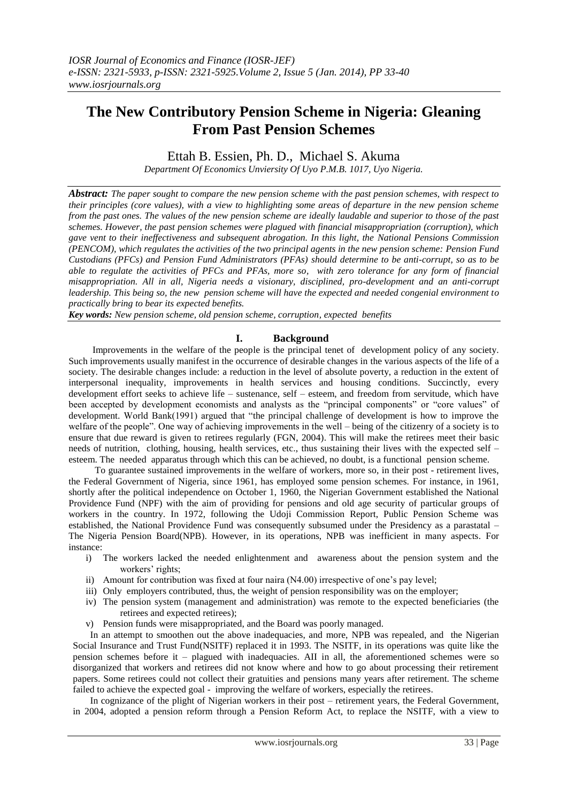# **The New Contributory Pension Scheme in Nigeria: Gleaning From Past Pension Schemes**

Ettah B. Essien, Ph. D., Michael S. Akuma

*Department Of Economics Unviersity Of Uyo P.M.B. 1017, Uyo Nigeria.*

*Abstract: The paper sought to compare the new pension scheme with the past pension schemes, with respect to their principles (core values), with a view to highlighting some areas of departure in the new pension scheme from the past ones. The values of the new pension scheme are ideally laudable and superior to those of the past schemes. However, the past pension schemes were plagued with financial misappropriation (corruption), which gave vent to their ineffectiveness and subsequent abrogation. In this light, the National Pensions Commission (PENCOM), which regulates the activities of the two principal agents in the new pension scheme: Pension Fund Custodians (PFCs) and Pension Fund Administrators (PFAs) should determine to be anti-corrupt, so as to be able to regulate the activities of PFCs and PFAs, more so, with zero tolerance for any form of financial misappropriation. All in all, Nigeria needs a visionary, disciplined, pro-development and an anti-corrupt leadership. This being so, the new pension scheme will have the expected and needed congenial environment to practically bring to bear its expected benefits.*

*Key words: New pension scheme, old pension scheme, corruption, expected benefits*

# **I. Background**

 Improvements in the welfare of the people is the principal tenet of development policy of any society. Such improvements usually manifest in the occurrence of desirable changes in the various aspects of the life of a society. The desirable changes include: a reduction in the level of absolute poverty, a reduction in the extent of interpersonal inequality, improvements in health services and housing conditions. Succinctly, every development effort seeks to achieve life – sustenance, self – esteem, and freedom from servitude, which have been accepted by development economists and analysts as the "principal components" or "core values" of development. World Bank(1991) argued that "the principal challenge of development is how to improve the welfare of the people". One way of achieving improvements in the well – being of the citizenry of a society is to ensure that due reward is given to retirees regularly (FGN, 2004). This will make the retirees meet their basic needs of nutrition, clothing, housing, health services, etc., thus sustaining their lives with the expected self – esteem. The needed apparatus through which this can be achieved, no doubt, is a functional pension scheme.

 To guarantee sustained improvements in the welfare of workers, more so, in their post - retirement lives, the Federal Government of Nigeria, since 1961, has employed some pension schemes. For instance, in 1961, shortly after the political independence on October 1, 1960, the Nigerian Government established the National Providence Fund (NPF) with the aim of providing for pensions and old age security of particular groups of workers in the country. In 1972, following the Udoji Commission Report, Public Pension Scheme was established, the National Providence Fund was consequently subsumed under the Presidency as a parastatal – The Nigeria Pension Board(NPB). However, in its operations, NPB was inefficient in many aspects. For instance:

- i) The workers lacked the needed enlightenment and awareness about the pension system and the workers' rights;
- ii) Amount for contribution was fixed at four naira (N4.00) irrespective of one"s pay level;
- iii) Only employers contributed, thus, the weight of pension responsibility was on the employer;
- iv) The pension system (management and administration) was remote to the expected beneficiaries (the retirees and expected retirees);
- v) Pension funds were misappropriated, and the Board was poorly managed.

In an attempt to smoothen out the above inadequacies, and more, NPB was repealed, and the Nigerian Social Insurance and Trust Fund(NSITF) replaced it in 1993. The NSITF, in its operations was quite like the pension schemes before it – plagued with inadequacies. AII in all, the aforementioned schemes were so disorganized that workers and retirees did not know where and how to go about processing their retirement papers. Some retirees could not collect their gratuities and pensions many years after retirement. The scheme failed to achieve the expected goal - improving the welfare of workers, especially the retirees.

In cognizance of the plight of Nigerian workers in their post – retirement years, the Federal Government, in 2004, adopted a pension reform through a Pension Reform Act, to replace the NSITF, with a view to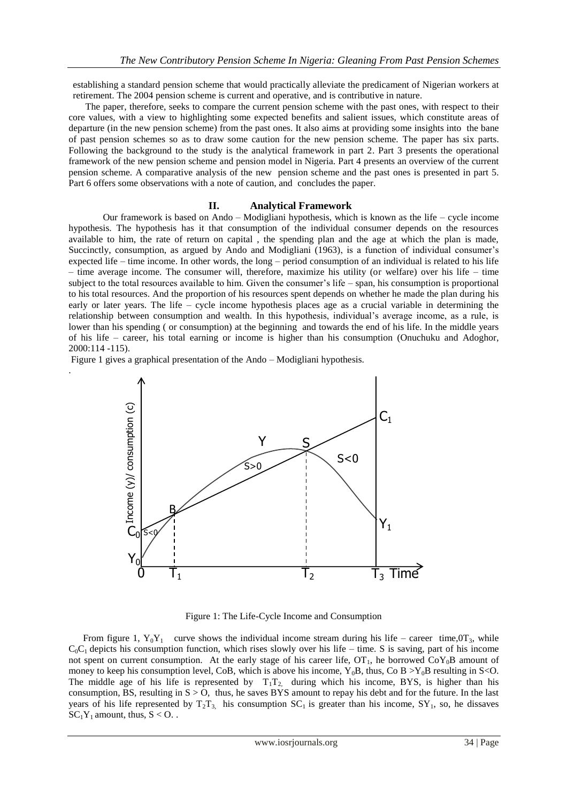establishing a standard pension scheme that would practically alleviate the predicament of Nigerian workers at retirement. The 2004 pension scheme is current and operative, and is contributive in nature.

 The paper, therefore, seeks to compare the current pension scheme with the past ones, with respect to their core values, with a view to highlighting some expected benefits and salient issues, which constitute areas of departure (in the new pension scheme) from the past ones. It also aims at providing some insights into the bane of past pension schemes so as to draw some caution for the new pension scheme. The paper has six parts. Following the background to the study is the analytical framework in part 2. Part 3 presents the operational framework of the new pension scheme and pension model in Nigeria. Part 4 presents an overview of the current pension scheme. A comparative analysis of the new pension scheme and the past ones is presented in part 5. Part 6 offers some observations with a note of caution, and concludes the paper.

#### **II. Analytical Framework**

Our framework is based on Ando – Modigliani hypothesis, which is known as the life – cycle income hypothesis. The hypothesis has it that consumption of the individual consumer depends on the resources available to him, the rate of return on capital , the spending plan and the age at which the plan is made, Succinctly, consumption, as argued by Ando and Modigliani (1963), is a function of individual consumer's expected life – time income. In other words, the long – period consumption of an individual is related to his life – time average income. The consumer will, therefore, maximize his utility (or welfare) over his life – time subject to the total resources available to him. Given the consumer"s life – span, his consumption is proportional to his total resources. And the proportion of his resources spent depends on whether he made the plan during his early or later years. The life – cycle income hypothesis places age as a crucial variable in determining the relationship between consumption and wealth. In this hypothesis, individual"s average income, as a rule, is lower than his spending ( or consumption) at the beginning and towards the end of his life. In the middle years of his life – career, his total earning or income is higher than his consumption (Onuchuku and Adoghor, 2000:114 -115).

Figure 1 gives a graphical presentation of the Ando – Modigliani hypothesis.

.



Figure 1: The Life-Cycle Income and Consumption

From figure 1,  $Y_0Y_1$  curve shows the individual income stream during his life – career time,0T<sub>3</sub>, while  $C_0C_1$  depicts his consumption function, which rises slowly over his life – time. S is saving, part of his income not spent on current consumption. At the early stage of his career life,  $OT_1$ , he borrowed  $CoY_0B$  amount of money to keep his consumption level, CoB, which is above his income,  $Y_0B$ , thus, Co B  $>Y_0B$  resulting in S<O. The middle age of his life is represented by  $T_1T_2$ , during which his income, BYS, is higher than his consumption, BS, resulting in  $S > 0$ , thus, he saves BYS amount to repay his debt and for the future. In the last years of his life represented by  $T_2T_3$ , his consumption  $SC_1$  is greater than his income,  $SY_1$ , so, he dissaves  $SC_1Y_1$  amount, thus,  $S < 0$ .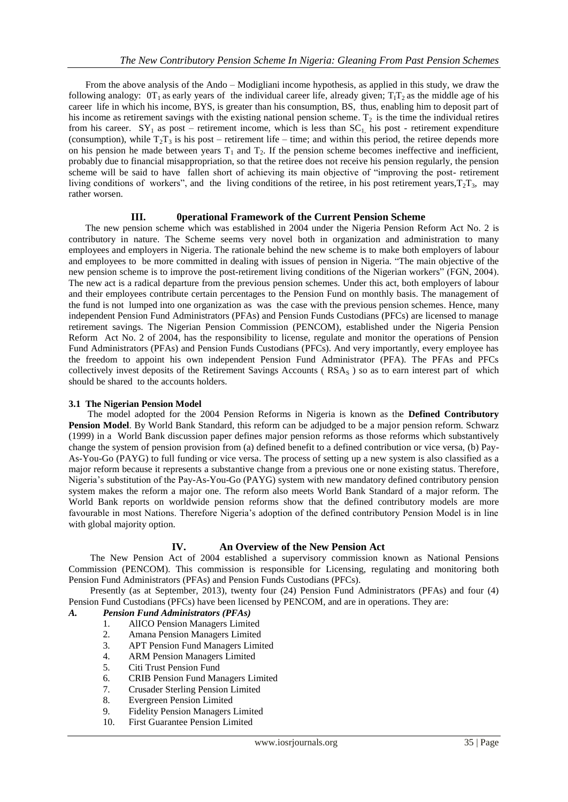From the above analysis of the Ando – Modigliani income hypothesis, as applied in this study, we draw the following analogy:  $0T_1$  as early years of the individual career life, already given;  $T_1T_2$  as the middle age of his career life in which his income, BYS, is greater than his consumption, BS, thus, enabling him to deposit part of his income as retirement savings with the existing national pension scheme.  $T_2$  is the time the individual retires from his career.  $SY_1$  as post – retirement income, which is less than  $SC_1$ , his post - retirement expenditure (consumption), while  $T_2T_3$  is his post – retirement life – time; and within this period, the retiree depends more on his pension he made between years  $T_1$  and  $T_2$ . If the pension scheme becomes ineffective and inefficient, probably due to financial misappropriation, so that the retiree does not receive his pension regularly, the pension scheme will be said to have fallen short of achieving its main objective of "improving the post- retirement living conditions of workers", and the living conditions of the retiree, in his post retirement years, $T_2T_3$ , may rather worsen.

## **III. 0perational Framework of the Current Pension Scheme**

 The new pension scheme which was established in 2004 under the Nigeria Pension Reform Act No. 2 is contributory in nature. The Scheme seems very novel both in organization and administration to many employees and employers in Nigeria. The rationale behind the new scheme is to make both employers of labour and employees to be more committed in dealing with issues of pension in Nigeria. "The main objective of the new pension scheme is to improve the post-retirement living conditions of the Nigerian workers" (FGN, 2004). The new act is a radical departure from the previous pension schemes. Under this act, both employers of labour and their employees contribute certain percentages to the Pension Fund on monthly basis. The management of the fund is not lumped into one organization as was the case with the previous pension schemes. Hence, many independent Pension Fund Administrators (PFAs) and Pension Funds Custodians (PFCs) are licensed to manage retirement savings. The Nigerian Pension Commission (PENCOM), established under the Nigeria Pension Reform Act No. 2 of 2004, has the responsibility to license, regulate and monitor the operations of Pension Fund Administrators (PFAs) and Pension Funds Custodians (PFCs). And very importantly, every employee has the freedom to appoint his own independent Pension Fund Administrator (PFA). The PFAs and PFCs collectively invest deposits of the Retirement Savings Accounts ( $\text{RSA}_\text{S}$ ) so as to earn interest part of which should be shared to the accounts holders.

### **3.1 The Nigerian Pension Model**

 The model adopted for the 2004 Pension Reforms in Nigeria is known as the **Defined Contributory Pension Model**. By World Bank Standard, this reform can be adjudged to be a major pension reform. Schwarz (1999) in a World Bank discussion paper defines major pension reforms as those reforms which substantively change the system of pension provision from (a) defined benefit to a defined contribution or vice versa, (b) Pay-As-You-Go (PAYG) to full funding or vice versa. The process of setting up a new system is also classified as a major reform because it represents a substantive change from a previous one or none existing status. Therefore, Nigeria"s substitution of the Pay-As-You-Go (PAYG) system with new mandatory defined contributory pension system makes the reform a major one. The reform also meets World Bank Standard of a major reform. The World Bank reports on worldwide pension reforms show that the defined contributory models are more favourable in most Nations. Therefore Nigeria"s adoption of the defined contributory Pension Model is in line with global majority option.

# **IV. An Overview of the New Pension Act**

 The New Pension Act of 2004 established a supervisory commission known as National Pensions Commission (PENCOM). This commission is responsible for Licensing, regulating and monitoring both Pension Fund Administrators (PFAs) and Pension Funds Custodians (PFCs).

 Presently (as at September, 2013), twenty four (24) Pension Fund Administrators (PFAs) and four (4) Pension Fund Custodians (PFCs) have been licensed by PENCOM, and are in operations. They are:

# *A. Pension Fund Administrators (PFAs)*

- 1. AlICO Pension Managers Limited
- 2. Amana Pension Managers Limited
- 3. APT Pension Fund Managers Limited
- 4. ARM Pension Managers Limited
- 5. Citi Trust Pension Fund
- 6. CRIB Pension Fund Managers Limited
- 7. Crusader Sterling Pension Limited
- 8. Evergreen Pension Limited
- 9. Fidelity Pension Managers Limited
- 10. First Guarantee Pension Limited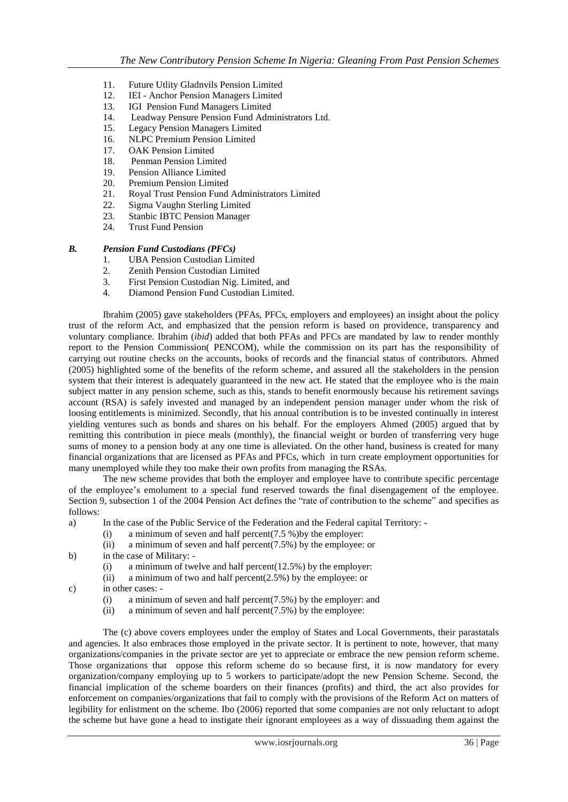- 11. Future Utlity Gladnvils Pension Limited
- 12. IEI Anchor Pension Managers Limited
- 13. IGI Pension Fund Managers Limited
- 14. Leadway Pensure Pension Fund Administrators Ltd.
- 15. Legacy Pension Managers Limited
- 16. NLPC Premium Pension Limited
- 17. OAK Pension Limited
- 18. Penman Pension Limited<br>19. Pension Alliance Limited
- 19. Pension Alliance Limited
- 20. Premium Pension Limited
- 21. Royal Trust Pension Fund Administrators Limited
- 22. Sigma Vaughn Sterling Limited<br>23 Stanbic IBTC Pension Manager
- **Stanbic IBTC Pension Manager**
- 24. Trust Fund Pension

# *B. Pension Fund Custodians (PFCs)*

- 1. UBA Pension Custodian Limited
- 2. Zenith Pension Custodian Limited
- 3. First Pension Custodian Nig. Limited, and
- 4. Diamond Pension Fund Custodian Limited.

Ibrahim (2005) gave stakeholders (PFAs, PFCs, employers and employees) an insight about the policy trust of the reform Act, and emphasized that the pension reform is based on providence, transparency and voluntary compliance. Ibrahim (*ibid*) added that both PFAs and PFCs are mandated by law to render monthly report to the Pension Commission( PENCOM), while the commission on its part has the responsibility of carrying out routine checks on the accounts, books of records and the financial status of contributors. Ahmed (2005) highlighted some of the benefits of the reform scheme, and assured all the stakeholders in the pension system that their interest is adequately guaranteed in the new act. He stated that the employee who is the main subject matter in any pension scheme, such as this, stands to benefit enormously because his retirement savings account (RSA) is safely invested and managed by an independent pension manager under whom the risk of loosing entitlements is minimized. Secondly, that his annual contribution is to be invested continually in interest yielding ventures such as bonds and shares on his behalf. For the employers Ahmed (2005) argued that by remitting this contribution in piece meals (monthly), the financial weight or burden of transferring very huge sums of money to a pension body at any one time is alleviated. On the other hand, business is created for many financial organizations that are licensed as PFAs and PFCs, which in turn create employment opportunities for many unemployed while they too make their own profits from managing the RSAs.

The new scheme provides that both the employer and employee have to contribute specific percentage of the employee"s emolument to a special fund reserved towards the final disengagement of the employee. Section 9, subsection 1 of the 2004 Pension Act defines the "rate of contribution to the scheme" and specifies as follows:

- a) In the case of the Public Service of the Federation and the Federal capital Territory:
	- (i) a minimum of seven and half percent $(7.5 \%)$  by the employer:
	- (ii) a minimum of seven and half percent(7.5%) by the employee: or
- b) in the case of Military:
	- (i) a minimum of twelve and half percent( $12.5\%$ ) by the employer:
	- (ii) a minimum of two and half percent $(2.5\%)$  by the employee: or
- c) in other cases:
	- (i) a minimum of seven and half percent(7.5%) by the employer: and
	- (ii) a minimum of seven and half percent $(7.5\%)$  by the employee:

The (c) above covers employees under the employ of States and Local Governments, their parastatals and agencies. It also embraces those employed in the private sector. It is pertinent to note, however, that many organizations/companies in the private sector are yet to appreciate or embrace the new pension reform scheme. Those organizations that oppose this reform scheme do so because first, it is now mandatory for every organization/company employing up to 5 workers to participate/adopt the new Pension Scheme. Second, the financial implication of the scheme boarders on their finances (profits) and third, the act also provides for enforcement on companies/organizations that fail to comply with the provisions of the Reform Act on matters of legibility for enlistment on the scheme. Ibo (2006) reported that some companies are not only reluctant to adopt the scheme but have gone a head to instigate their ignorant employees as a way of dissuading them against the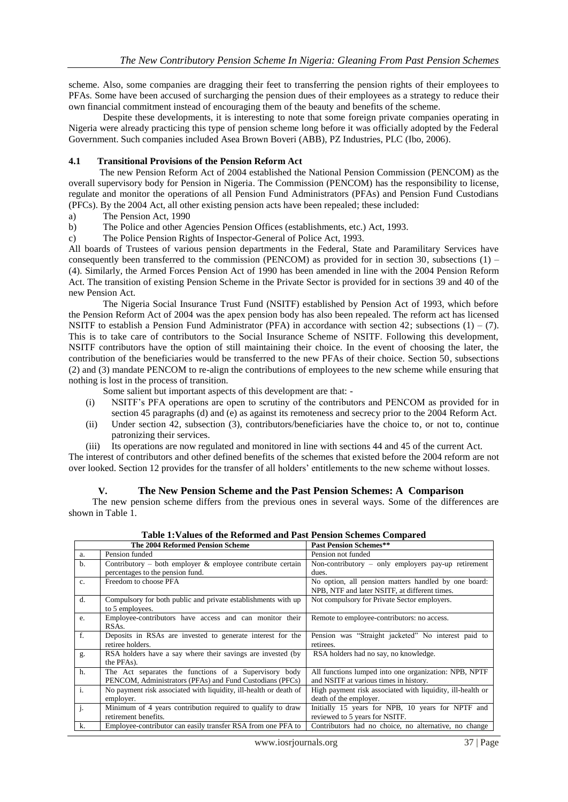scheme. Also, some companies are dragging their feet to transferring the pension rights of their employees to PFAs. Some have been accused of surcharging the pension dues of their employees as a strategy to reduce their own financial commitment instead of encouraging them of the beauty and benefits of the scheme.

Despite these developments, it is interesting to note that some foreign private companies operating in Nigeria were already practicing this type of pension scheme long before it was officially adopted by the Federal Government. Such companies included Asea Brown Boveri (ABB), PZ Industries, PLC (Ibo, 2006).

## **4.1 Transitional Provisions of the Pension Reform Act**

 The new Pension Reform Act of 2004 established the National Pension Commission (PENCOM) as the overall supervisory body for Pension in Nigeria. The Commission (PENCOM) has the responsibility to license, regulate and monitor the operations of all Pension Fund Administrators (PFAs) and Pension Fund Custodians (PFCs). By the 2004 Act, all other existing pension acts have been repealed; these included:

- a) The Pension Act, 1990
- b) The Police and other Agencies Pension Offices (establishments, etc.) Act, 1993.

c) The Police Pension Rights of Inspector-General of Police Act, 1993.

All boards of Trustees of various pension departments in the Federal, State and Paramilitary Services have consequently been transferred to the commission (PENCOM) as provided for in section 30, subsections  $(1)$  – (4). Similarly, the Armed Forces Pension Act of 1990 has been amended in line with the 2004 Pension Reform Act. The transition of existing Pension Scheme in the Private Sector is provided for in sections 39 and 40 of the new Pension Act.

The Nigeria Social Insurance Trust Fund (NSITF) established by Pension Act of 1993, which before the Pension Reform Act of 2004 was the apex pension body has also been repealed. The reform act has licensed NSITF to establish a Pension Fund Administrator (PFA) in accordance with section 42; subsections  $(1) - (7)$ . This is to take care of contributors to the Social Insurance Scheme of NSITF. Following this development, NSITF contributors have the option of still maintaining their choice. In the event of choosing the later, the contribution of the beneficiaries would be transferred to the new PFAs of their choice. Section 50, subsections (2) and (3) mandate PENCOM to re-align the contributions of employees to the new scheme while ensuring that nothing is lost in the process of transition.

Some salient but important aspects of this development are that: -

- (i) NSITF"s PFA operations are open to scrutiny of the contributors and PENCOM as provided for in section 45 paragraphs (d) and (e) as against its remoteness and secrecy prior to the 2004 Reform Act.
- (ii) Under section 42, subsection (3), contributors/beneficiaries have the choice to, or not to, continue patronizing their services.
- (iii) Its operations are now regulated and monitored in line with sections 44 and 45 of the current Act.

The interest of contributors and other defined benefits of the schemes that existed before the 2004 reform are not over looked. Section 12 provides for the transfer of all holders" entitlements to the new scheme without losses.

### **V. The New Pension Scheme and the Past Pension Schemes: A Comparison**

 The new pension scheme differs from the previous ones in several ways. Some of the differences are shown in Table 1.

|                           | The 2004 Reformed Pension Scheme                                  | <b>Past Pension Schemes**</b>                              |
|---------------------------|-------------------------------------------------------------------|------------------------------------------------------------|
| a.                        | Pension funded                                                    | Pension not funded                                         |
| $b$ .                     | Contributory – both employer $\&$ employee contribute certain     | Non-contributory $-$ only employers pay-up retirement      |
|                           | percentages to the pension fund.                                  | dues.                                                      |
| $\mathbf{c}$ .            | Freedom to choose PFA                                             | No option, all pension matters handled by one board:       |
|                           |                                                                   | NPB, NTF and later NSITF, at different times.              |
| d.                        | Compulsory for both public and private establishments with up     | Not compulsory for Private Sector employers.               |
|                           | to 5 employees.                                                   |                                                            |
| e.                        | Employee-contributors have access and can monitor their           | Remote to employee-contributors: no access.                |
|                           | RSA <sub>s</sub> .                                                |                                                            |
| f.                        | Deposits in RSAs are invested to generate interest for the        | Pension was "Straight jacketed" No interest paid to        |
|                           | retiree holders.                                                  | retirees.                                                  |
| g.                        | RSA holders have a say where their savings are invested (by       | RSA holders had no say, no knowledge.                      |
|                           | the PFAs).                                                        |                                                            |
| h.                        | The Act separates the functions of a Supervisory body             | All functions lumped into one organization: NPB, NPTF      |
|                           | PENCOM, Administrators (PFAs) and Fund Custodians (PFCs)          | and NSITF at various times in history.                     |
| i.                        | No payment risk associated with liquidity, ill-health or death of | High payment risk associated with liquidity, ill-health or |
|                           | employer.                                                         | death of the employer.                                     |
| $\overline{\mathbf{j}}$ . | Minimum of 4 years contribution required to qualify to draw       | Initially 15 years for NPB, 10 years for NPTF and          |
|                           | retirement benefits.                                              | reviewed to 5 years for NSITF.                             |
| k.                        | Employee-contributor can easily transfer RSA from one PFA to      | Contributors had no choice, no alternative, no change      |

|  | Table 1: Values of the Reformed and Past Pension Schemes Compared |
|--|-------------------------------------------------------------------|
|  |                                                                   |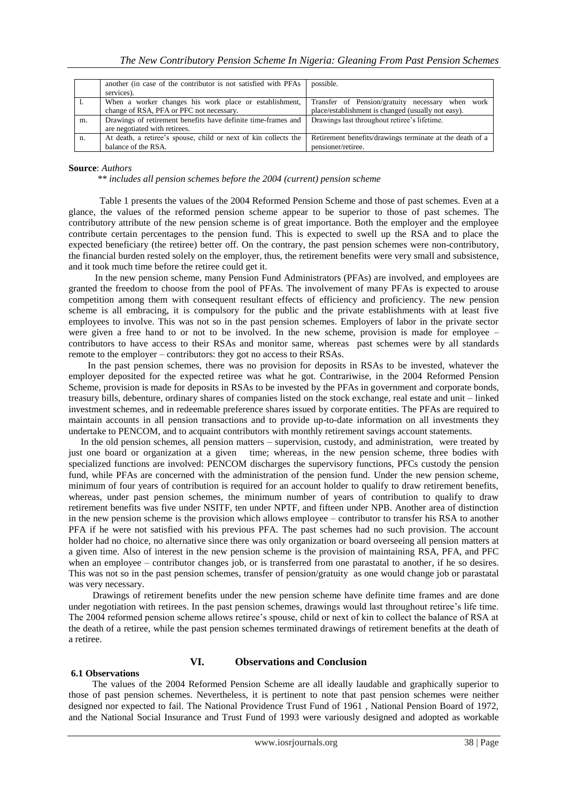|    | another (in case of the contributor is not satisfied with PFAs<br>services).                       | possible.                                                                                              |  |
|----|----------------------------------------------------------------------------------------------------|--------------------------------------------------------------------------------------------------------|--|
|    | When a worker changes his work place or establishment,<br>change of RSA, PFA or PFC not necessary. | Transfer of Pension/gratuity necessary when work<br>place/establishment is changed (usually not easy). |  |
| m. | Drawings of retirement benefits have definite time-frames and<br>are negotiated with retirees.     | Drawings last throughout retiree's lifetime.                                                           |  |
| n. | At death, a retiree's spouse, child or next of kin collects the<br>balance of the RSA.             | Retirement benefits/drawings terminate at the death of a<br>pensioner/retiree.                         |  |

#### **Source**: *Authors*

 *\*\* includes all pension schemes before the 2004 (current) pension scheme*

 Table 1 presents the values of the 2004 Reformed Pension Scheme and those of past schemes. Even at a glance, the values of the reformed pension scheme appear to be superior to those of past schemes. The contributory attribute of the new pension scheme is of great importance. Both the employer and the employee contribute certain percentages to the pension fund. This is expected to swell up the RSA and to place the expected beneficiary (the retiree) better off. On the contrary, the past pension schemes were non-contributory, the financial burden rested solely on the employer, thus, the retirement benefits were very small and subsistence, and it took much time before the retiree could get it.

 In the new pension scheme, many Pension Fund Administrators (PFAs) are involved, and employees are granted the freedom to choose from the pool of PFAs. The involvement of many PFAs is expected to arouse competition among them with consequent resultant effects of efficiency and proficiency. The new pension scheme is all embracing, it is compulsory for the public and the private establishments with at least five employees to involve. This was not so in the past pension schemes. Employers of labor in the private sector were given a free hand to or not to be involved. In the new scheme, provision is made for employee – contributors to have access to their RSAs and monitor same, whereas past schemes were by all standards remote to the employer – contributors: they got no access to their RSAs.

 In the past pension schemes, there was no provision for deposits in RSAs to be invested, whatever the employer deposited for the expected retiree was what he got. Contrariwise, in the 2004 Reformed Pension Scheme, provision is made for deposits in RSAs to be invested by the PFAs in government and corporate bonds, treasury bills, debenture, ordinary shares of companies listed on the stock exchange, real estate and unit – linked investment schemes, and in redeemable preference shares issued by corporate entities. The PFAs are required to maintain accounts in all pension transactions and to provide up-to-date information on all investments they undertake to PENCOM, and to acquaint contributors with monthly retirement savings account statements.

In the old pension schemes, all pension matters – supervision, custody, and administration, were treated by just one board or organization at a given time; whereas, in the new pension scheme, three bodies with time; whereas, in the new pension scheme, three bodies with specialized functions are involved: PENCOM discharges the supervisory functions, PFCs custody the pension fund, while PFAs are concerned with the administration of the pension fund. Under the new pension scheme, minimum of four years of contribution is required for an account holder to qualify to draw retirement benefits, whereas, under past pension schemes, the minimum number of years of contribution to qualify to draw retirement benefits was five under NSITF, ten under NPTF, and fifteen under NPB. Another area of distinction in the new pension scheme is the provision which allows employee – contributor to transfer his RSA to another PFA if he were not satisfied with his previous PFA. The past schemes had no such provision. The account holder had no choice, no alternative since there was only organization or board overseeing all pension matters at a given time. Also of interest in the new pension scheme is the provision of maintaining RSA, PFA, and PFC when an employee – contributor changes job, or is transferred from one parastatal to another, if he so desires. This was not so in the past pension schemes, transfer of pension/gratuity as one would change job or parastatal was very necessary.

 Drawings of retirement benefits under the new pension scheme have definite time frames and are done under negotiation with retirees. In the past pension schemes, drawings would last throughout retiree's life time. The 2004 reformed pension scheme allows retiree"s spouse, child or next of kin to collect the balance of RSA at the death of a retiree, while the past pension schemes terminated drawings of retirement benefits at the death of a retiree.

#### **6.1 Observations**

# **VI. Observations and Conclusion**

 The values of the 2004 Reformed Pension Scheme are all ideally laudable and graphically superior to those of past pension schemes. Nevertheless, it is pertinent to note that past pension schemes were neither designed nor expected to fail. The National Providence Trust Fund of 1961 , National Pension Board of 1972, and the National Social Insurance and Trust Fund of 1993 were variously designed and adopted as workable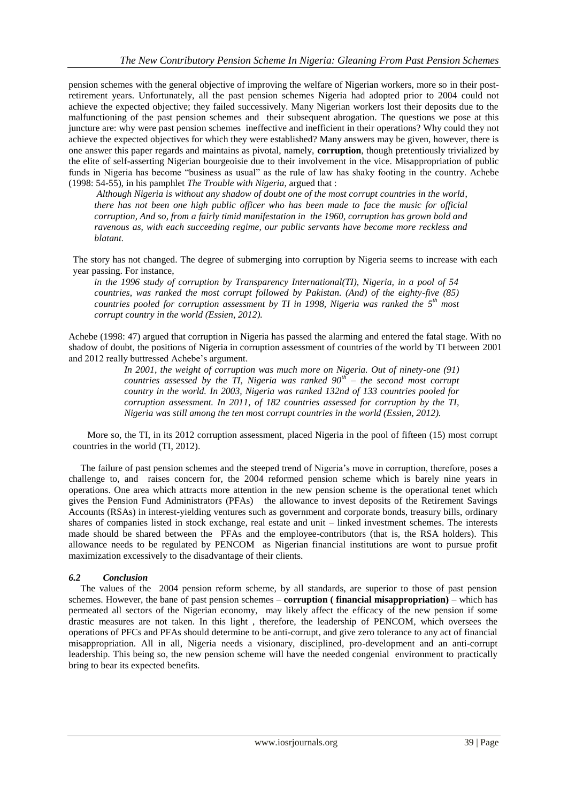pension schemes with the general objective of improving the welfare of Nigerian workers, more so in their postretirement years. Unfortunately, all the past pension schemes Nigeria had adopted prior to 2004 could not achieve the expected objective; they failed successively. Many Nigerian workers lost their deposits due to the malfunctioning of the past pension schemes and their subsequent abrogation. The questions we pose at this juncture are: why were past pension schemes ineffective and inefficient in their operations? Why could they not achieve the expected objectives for which they were established? Many answers may be given, however, there is one answer this paper regards and maintains as pivotal, namely, **corruption**, though pretentiously trivialized by the elite of self-asserting Nigerian bourgeoisie due to their involvement in the vice. Misappropriation of public funds in Nigeria has become "business as usual" as the rule of law has shaky footing in the country. Achebe (1998: 54-55), in his pamphlet *The Trouble with Nigeria,* argued that :

*Although Nigeria is without any shadow of doubt one of the most corrupt countries in the world*, *there has not been one high public officer who has been made to face the music for official corruption, And so, from a fairly timid manifestation in the 1960, corruption has grown bold and ravenous as, with each succeeding regime, our public servants have become more reckless and blatant.*

The story has not changed. The degree of submerging into corruption by Nigeria seems to increase with each year passing. For instance,

*in the 1996 study of corruption by Transparency International(TI), Nigeria, in a pool of 54 countries, was ranked the most corrupt followed by Pakistan. (And) of the eighty-five (85) countries pooled for corruption assessment by TI in 1998, Nigeria was ranked the 5 th most corrupt country in the world (Essien, 2012).*

Achebe (1998: 47) argued that corruption in Nigeria has passed the alarming and entered the fatal stage. With no shadow of doubt, the positions of Nigeria in corruption assessment of countries of the world by TI between 2001 and 2012 really buttressed Achebe"s argument.

*In 2001, the weight of corruption was much more on Nigeria. Out of ninety-one (91) countries assessed by the TI, Nigeria was ranked 90th – the second most corrupt country in the world. In 2003, Nigeria was ranked 132nd of 133 countries pooled for corruption assessment. In 2011, of 182 countries assessed for corruption by the TI, Nigeria was still among the ten most corrupt countries in the world (Essien, 2012).*

 More so, the TI, in its 2012 corruption assessment, placed Nigeria in the pool of fifteen (15) most corrupt countries in the world (TI, 2012).

 The failure of past pension schemes and the steeped trend of Nigeria"s move in corruption, therefore, poses a challenge to, and raises concern for, the 2004 reformed pension scheme which is barely nine years in operations. One area which attracts more attention in the new pension scheme is the operational tenet which gives the Pension Fund Administrators (PFAs) the allowance to invest deposits of the Retirement Savings Accounts (RSAs) in interest-yielding ventures such as government and corporate bonds, treasury bills, ordinary shares of companies listed in stock exchange, real estate and unit – linked investment schemes. The interests made should be shared between the PFAs and the employee-contributors (that is, the RSA holders). This allowance needs to be regulated by PENCOM as Nigerian financial institutions are wont to pursue profit maximization excessively to the disadvantage of their clients.

### *6.2 Conclusion*

The values of the 2004 pension reform scheme, by all standards, are superior to those of past pension schemes. However, the bane of past pension schemes – **corruption ( financial misappropriation)** – which has permeated all sectors of the Nigerian economy, may likely affect the efficacy of the new pension if some drastic measures are not taken. In this light , therefore, the leadership of PENCOM, which oversees the operations of PFCs and PFAs should determine to be anti-corrupt, and give zero tolerance to any act of financial misappropriation. All in all, Nigeria needs a visionary, disciplined, pro-development and an anti-corrupt leadership. This being so, the new pension scheme will have the needed congenial environment to practically bring to bear its expected benefits.